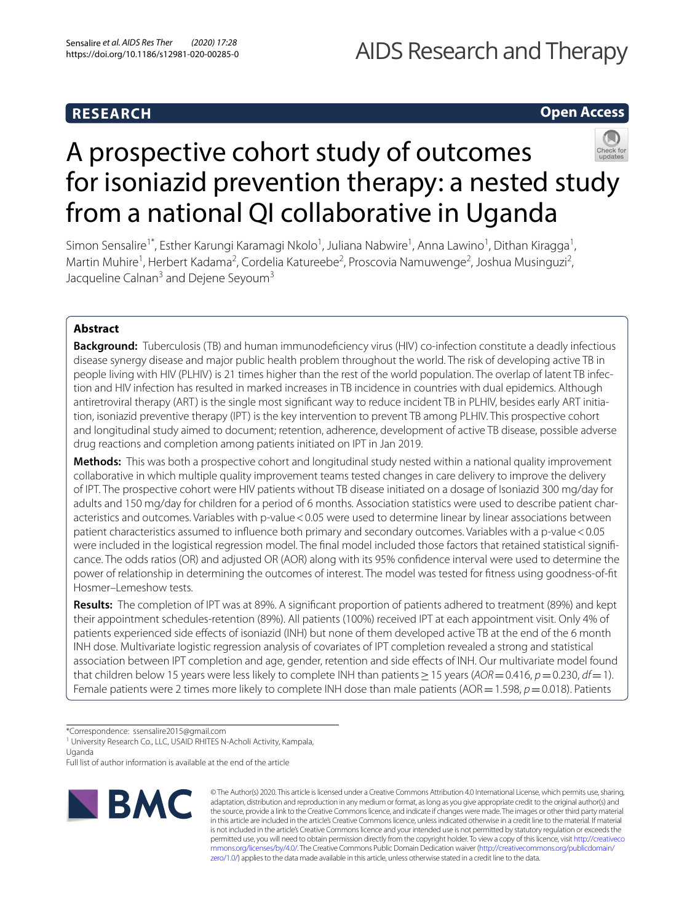# **Open Access**



# A prospective cohort study of outcomes for isoniazid prevention therapy: a nested study from a national QI collaborative in Uganda

Simon Sensalire<sup>1\*</sup>, Esther Karungi Karamagi Nkolo<sup>1</sup>, Juliana Nabwire<sup>1</sup>, Anna Lawino<sup>1</sup>, Dithan Kiragga<sup>1</sup>, Martin Muhire<sup>1</sup>, Herbert Kadama<sup>2</sup>, Cordelia Katureebe<sup>2</sup>, Proscovia Namuwenge<sup>2</sup>, Joshua Musinguzi<sup>2</sup>, Jacqueline Calnan<sup>3</sup> and Dejene Seyoum<sup>3</sup>

## **Abstract**

**Background:** Tuberculosis (TB) and human immunodeficiency virus (HIV) co-infection constitute a deadly infectious disease synergy disease and major public health problem throughout the world. The risk of developing active TB in people living with HIV (PLHIV) is 21 times higher than the rest of the world population. The overlap of latent TB infection and HIV infection has resulted in marked increases in TB incidence in countries with dual epidemics. Although antiretroviral therapy (ART) is the single most signifcant way to reduce incident TB in PLHIV, besides early ART initiation, isoniazid preventive therapy (IPT) is the key intervention to prevent TB among PLHIV. This prospective cohort and longitudinal study aimed to document; retention, adherence, development of active TB disease, possible adverse drug reactions and completion among patients initiated on IPT in Jan 2019.

**Methods:** This was both a prospective cohort and longitudinal study nested within a national quality improvement collaborative in which multiple quality improvement teams tested changes in care delivery to improve the delivery of IPT. The prospective cohort were HIV patients without TB disease initiated on a dosage of Isoniazid 300 mg/day for adults and 150 mg/day for children for a period of 6 months. Association statistics were used to describe patient characteristics and outcomes. Variables with p-value < 0.05 were used to determine linear by linear associations between patient characteristics assumed to infuence both primary and secondary outcomes. Variables with a p-value<0.05 were included in the logistical regression model. The fnal model included those factors that retained statistical signifcance. The odds ratios (OR) and adjusted OR (AOR) along with its 95% confdence interval were used to determine the power of relationship in determining the outcomes of interest. The model was tested for ftness using goodness-of-ft Hosmer–Lemeshow tests.

**Results:** The completion of IPT was at 89%. A signifcant proportion of patients adhered to treatment (89%) and kept their appointment schedules-retention (89%). All patients (100%) received IPT at each appointment visit. Only 4% of patients experienced side efects of isoniazid (INH) but none of them developed active TB at the end of the 6 month INH dose. Multivariate logistic regression analysis of covariates of IPT completion revealed a strong and statistical association between IPT completion and age, gender, retention and side efects of INH. Our multivariate model found that children below 15 years were less likely to complete INH than patients≥15 years (*AOR*=0.416, *p*=0.230, *df*=1). Female patients were 2 times more likely to complete INH dose than male patients (AOR=1.598, *p*=0.018). Patients

\*Correspondence: ssensalire2015@gmail.com

<sup>1</sup> University Research Co., LLC, USAID RHITES N-Acholi Activity, Kampala, Uganda

Full list of author information is available at the end of the article



© The Author(s) 2020. This article is licensed under a Creative Commons Attribution 4.0 International License, which permits use, sharing, adaptation, distribution and reproduction in any medium or format, as long as you give appropriate credit to the original author(s) and the source, provide a link to the Creative Commons licence, and indicate if changes were made. The images or other third party material in this article are included in the article's Creative Commons licence, unless indicated otherwise in a credit line to the material. If material is not included in the article's Creative Commons licence and your intended use is not permitted by statutory regulation or exceeds the permitted use, you will need to obtain permission directly from the copyright holder. To view a copy of this licence, visit [http://creativeco](http://creativecommons.org/licenses/by/4.0/) [mmons.org/licenses/by/4.0/.](http://creativecommons.org/licenses/by/4.0/) The Creative Commons Public Domain Dedication waiver ([http://creativecommons.org/publicdomain/](http://creativecommons.org/publicdomain/zero/1.0/) [zero/1.0/\)](http://creativecommons.org/publicdomain/zero/1.0/) applies to the data made available in this article, unless otherwise stated in a credit line to the data.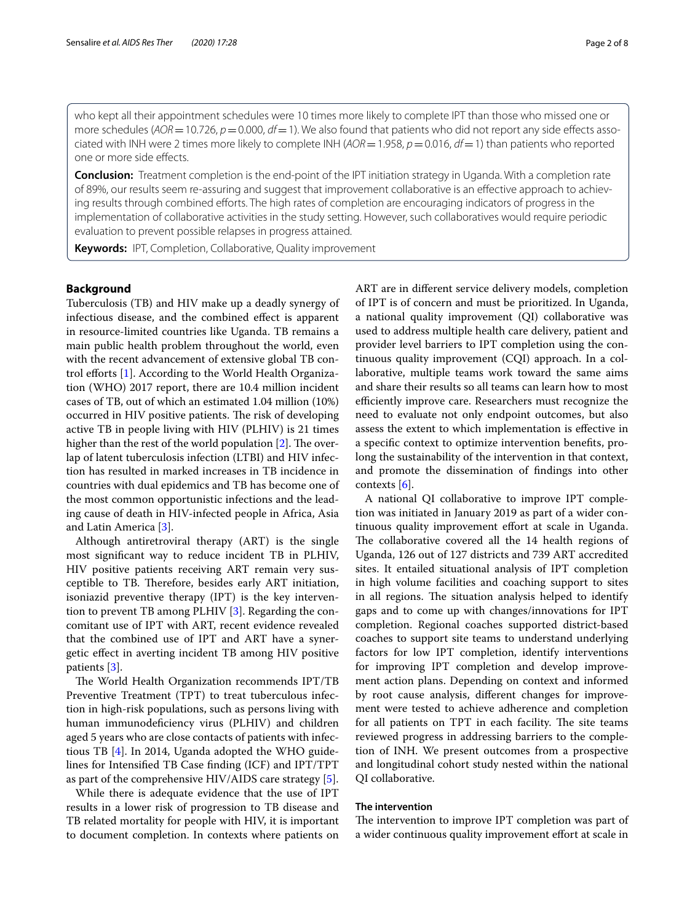who kept all their appointment schedules were 10 times more likely to complete IPT than those who missed one or more schedules (AOR = 10.726,  $p$  = 0.000,  $df$  = 1). We also found that patients who did not report any side effects associated with INH were 2 times more likely to complete INH (*AOR*=1.958, *p*=0.016, *df*=1) than patients who reported one or more side efects.

**Conclusion:** Treatment completion is the end-point of the IPT initiation strategy in Uganda. With a completion rate of 89%, our results seem re-assuring and suggest that improvement collaborative is an efective approach to achieving results through combined eforts. The high rates of completion are encouraging indicators of progress in the implementation of collaborative activities in the study setting. However, such collaboratives would require periodic evaluation to prevent possible relapses in progress attained.

**Keywords:** IPT, Completion, Collaborative, Quality improvement

## **Background**

Tuberculosis (TB) and HIV make up a deadly synergy of infectious disease, and the combined efect is apparent in resource-limited countries like Uganda. TB remains a main public health problem throughout the world, even with the recent advancement of extensive global TB control eforts [[1\]](#page-6-0). According to the World Health Organization (WHO) 2017 report, there are 10.4 million incident cases of TB, out of which an estimated 1.04 million (10%) occurred in HIV positive patients. The risk of developing active TB in people living with HIV (PLHIV) is 21 times higher than the rest of the world population  $[2]$  $[2]$ . The overlap of latent tuberculosis infection (LTBI) and HIV infection has resulted in marked increases in TB incidence in countries with dual epidemics and TB has become one of the most common opportunistic infections and the leading cause of death in HIV-infected people in Africa, Asia and Latin America [[3](#page-7-0)].

Although antiretroviral therapy (ART) is the single most signifcant way to reduce incident TB in PLHIV, HIV positive patients receiving ART remain very susceptible to TB. Therefore, besides early ART initiation, isoniazid preventive therapy (IPT) is the key intervention to prevent TB among PLHIV [[3\]](#page-7-0). Regarding the concomitant use of IPT with ART, recent evidence revealed that the combined use of IPT and ART have a synergetic efect in averting incident TB among HIV positive patients [[3\]](#page-7-0).

The World Health Organization recommends IPT/TB Preventive Treatment (TPT) to treat tuberculous infection in high-risk populations, such as persons living with human immunodefciency virus (PLHIV) and children aged 5 years who are close contacts of patients with infectious TB [[4\]](#page-7-1). In 2014, Uganda adopted the WHO guidelines for Intensifed TB Case fnding (ICF) and IPT/TPT as part of the comprehensive HIV/AIDS care strategy [[5\]](#page-7-2).

While there is adequate evidence that the use of IPT results in a lower risk of progression to TB disease and TB related mortality for people with HIV, it is important to document completion. In contexts where patients on ART are in diferent service delivery models, completion of IPT is of concern and must be prioritized. In Uganda, a national quality improvement (QI) collaborative was used to address multiple health care delivery, patient and provider level barriers to IPT completion using the continuous quality improvement (CQI) approach. In a collaborative, multiple teams work toward the same aims and share their results so all teams can learn how to most efficiently improve care. Researchers must recognize the need to evaluate not only endpoint outcomes, but also assess the extent to which implementation is efective in a specifc context to optimize intervention benefts, prolong the sustainability of the intervention in that context, and promote the dissemination of fndings into other contexts [[6](#page-7-3)].

A national QI collaborative to improve IPT completion was initiated in January 2019 as part of a wider continuous quality improvement effort at scale in Uganda. The collaborative covered all the 14 health regions of Uganda, 126 out of 127 districts and 739 ART accredited sites. It entailed situational analysis of IPT completion in high volume facilities and coaching support to sites in all regions. The situation analysis helped to identify gaps and to come up with changes/innovations for IPT completion. Regional coaches supported district-based coaches to support site teams to understand underlying factors for low IPT completion, identify interventions for improving IPT completion and develop improvement action plans. Depending on context and informed by root cause analysis, diferent changes for improvement were tested to achieve adherence and completion for all patients on TPT in each facility. The site teams reviewed progress in addressing barriers to the completion of INH. We present outcomes from a prospective and longitudinal cohort study nested within the national QI collaborative.

## **The intervention**

The intervention to improve IPT completion was part of a wider continuous quality improvement effort at scale in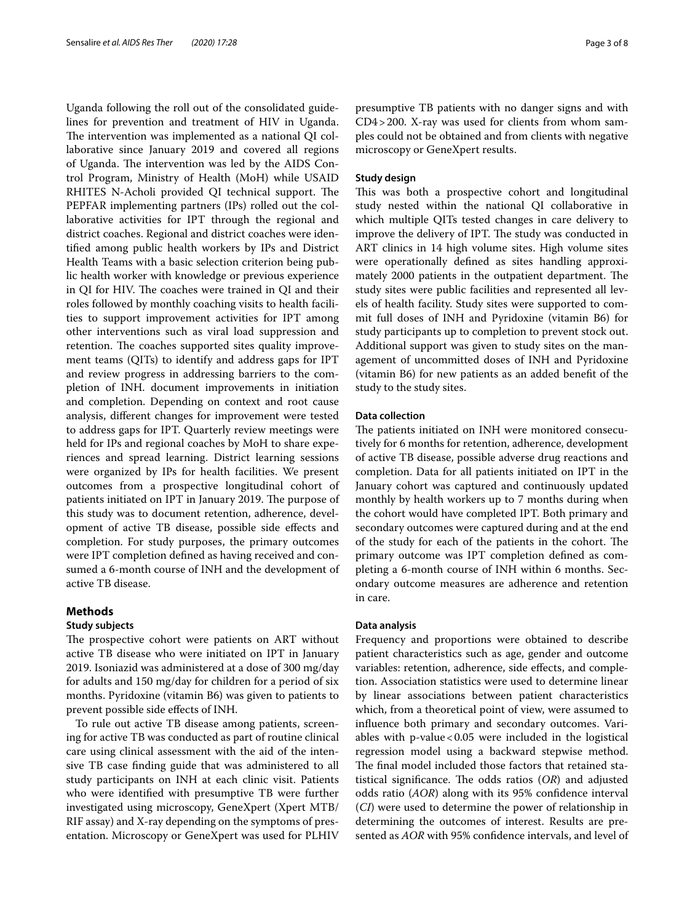Uganda following the roll out of the consolidated guidelines for prevention and treatment of HIV in Uganda. The intervention was implemented as a national QI collaborative since January 2019 and covered all regions of Uganda. The intervention was led by the AIDS Control Program, Ministry of Health (MoH) while USAID RHITES N-Acholi provided QI technical support. The PEPFAR implementing partners (IPs) rolled out the collaborative activities for IPT through the regional and district coaches. Regional and district coaches were identifed among public health workers by IPs and District Health Teams with a basic selection criterion being public health worker with knowledge or previous experience in QI for HIV. The coaches were trained in QI and their roles followed by monthly coaching visits to health facilities to support improvement activities for IPT among other interventions such as viral load suppression and retention. The coaches supported sites quality improvement teams (QITs) to identify and address gaps for IPT and review progress in addressing barriers to the completion of INH. document improvements in initiation and completion. Depending on context and root cause analysis, diferent changes for improvement were tested to address gaps for IPT. Quarterly review meetings were held for IPs and regional coaches by MoH to share experiences and spread learning. District learning sessions were organized by IPs for health facilities. We present outcomes from a prospective longitudinal cohort of patients initiated on IPT in January 2019. The purpose of this study was to document retention, adherence, development of active TB disease, possible side efects and completion. For study purposes, the primary outcomes were IPT completion defned as having received and consumed a 6-month course of INH and the development of active TB disease.

## **Methods**

#### **Study subjects**

The prospective cohort were patients on ART without active TB disease who were initiated on IPT in January 2019. Isoniazid was administered at a dose of 300 mg/day for adults and 150 mg/day for children for a period of six months. Pyridoxine (vitamin B6) was given to patients to prevent possible side efects of INH.

To rule out active TB disease among patients, screening for active TB was conducted as part of routine clinical care using clinical assessment with the aid of the intensive TB case fnding guide that was administered to all study participants on INH at each clinic visit. Patients who were identifed with presumptive TB were further investigated using microscopy, GeneXpert (Xpert MTB/ RIF assay) and X-ray depending on the symptoms of presentation. Microscopy or GeneXpert was used for PLHIV

presumptive TB patients with no danger signs and with CD4>200. X-ray was used for clients from whom samples could not be obtained and from clients with negative microscopy or GeneXpert results.

## **Study design**

This was both a prospective cohort and longitudinal study nested within the national QI collaborative in which multiple QITs tested changes in care delivery to improve the delivery of IPT. The study was conducted in ART clinics in 14 high volume sites. High volume sites were operationally defned as sites handling approximately 2000 patients in the outpatient department. The study sites were public facilities and represented all levels of health facility. Study sites were supported to commit full doses of INH and Pyridoxine (vitamin B6) for study participants up to completion to prevent stock out. Additional support was given to study sites on the management of uncommitted doses of INH and Pyridoxine (vitamin B6) for new patients as an added beneft of the study to the study sites.

## **Data collection**

The patients initiated on INH were monitored consecutively for 6 months for retention, adherence, development of active TB disease, possible adverse drug reactions and completion. Data for all patients initiated on IPT in the January cohort was captured and continuously updated monthly by health workers up to 7 months during when the cohort would have completed IPT. Both primary and secondary outcomes were captured during and at the end of the study for each of the patients in the cohort. The primary outcome was IPT completion defned as completing a 6-month course of INH within 6 months. Secondary outcome measures are adherence and retention in care.

#### **Data analysis**

Frequency and proportions were obtained to describe patient characteristics such as age, gender and outcome variables: retention, adherence, side efects, and completion. Association statistics were used to determine linear by linear associations between patient characteristics which, from a theoretical point of view, were assumed to infuence both primary and secondary outcomes. Variables with p-value  $< 0.05$  were included in the logistical regression model using a backward stepwise method. The final model included those factors that retained statistical significance. The odds ratios (OR) and adjusted odds ratio (*AOR*) along with its 95% confdence interval (*CI*) were used to determine the power of relationship in determining the outcomes of interest. Results are presented as *AOR* with 95% confdence intervals, and level of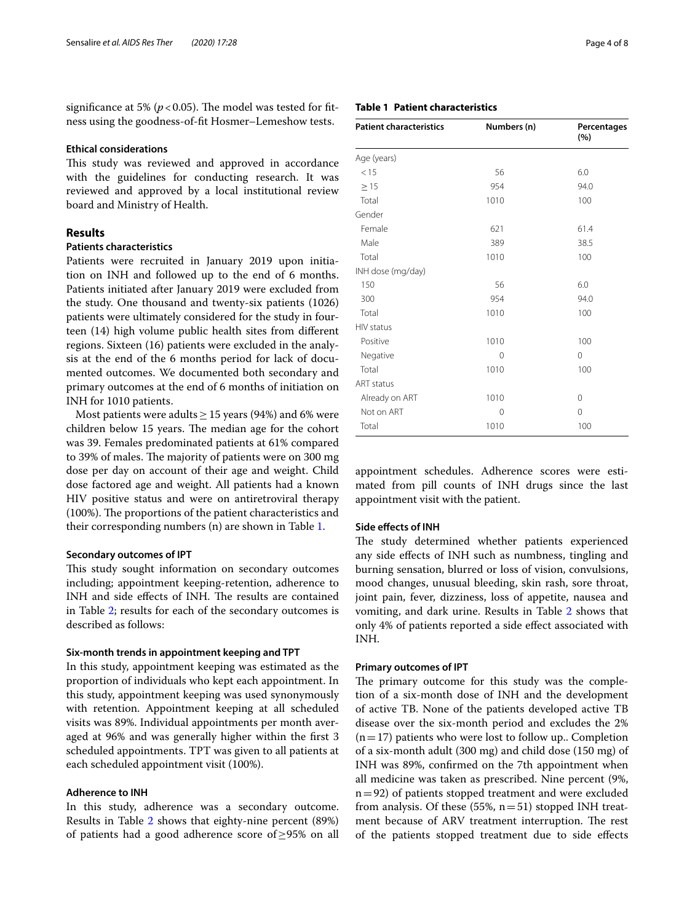significance at 5% ( $p$  < 0.05). The model was tested for fitness using the goodness-of-ft Hosmer–Lemeshow tests.

## **Ethical considerations**

This study was reviewed and approved in accordance with the guidelines for conducting research. It was reviewed and approved by a local institutional review board and Ministry of Health.

## **Results**

## **Patients characteristics**

Patients were recruited in January 2019 upon initiation on INH and followed up to the end of 6 months. Patients initiated after January 2019 were excluded from the study. One thousand and twenty-six patients (1026) patients were ultimately considered for the study in fourteen (14) high volume public health sites from diferent regions. Sixteen (16) patients were excluded in the analysis at the end of the 6 months period for lack of documented outcomes. We documented both secondary and primary outcomes at the end of 6 months of initiation on INH for 1010 patients.

Most patients were adults  $\geq$  15 years (94%) and 6% were children below 15 years. The median age for the cohort was 39. Females predominated patients at 61% compared to 39% of males. The majority of patients were on 300 mg dose per day on account of their age and weight. Child dose factored age and weight. All patients had a known HIV positive status and were on antiretroviral therapy  $(100\%)$ . The proportions of the patient characteristics and their corresponding numbers (n) are shown in Table [1.](#page-3-0)

## **Secondary outcomes of IPT**

This study sought information on secondary outcomes including; appointment keeping-retention, adherence to INH and side effects of INH. The results are contained in Table [2;](#page-4-0) results for each of the secondary outcomes is described as follows:

## **Six‑month trends in appointment keeping and TPT**

In this study, appointment keeping was estimated as the proportion of individuals who kept each appointment. In this study, appointment keeping was used synonymously with retention. Appointment keeping at all scheduled visits was 89%. Individual appointments per month averaged at 96% and was generally higher within the frst 3 scheduled appointments. TPT was given to all patients at each scheduled appointment visit (100%).

## **Adherence to INH**

In this study, adherence was a secondary outcome. Results in Table [2](#page-4-0) shows that eighty-nine percent (89%) of patients had a good adherence score of≥95% on all

## <span id="page-3-0"></span>**Table 1 Patient characteristics**

| <b>Patient characteristics</b> | Numbers (n) | Percentages<br>(%) |  |
|--------------------------------|-------------|--------------------|--|
| Age (years)                    |             |                    |  |
| < 15                           | 56          | 6.0                |  |
| $\geq$ 15                      | 954         | 94.0               |  |
| Total                          | 1010        | 100                |  |
| Gender                         |             |                    |  |
| Female                         | 621         | 61.4               |  |
| Male                           | 389         | 38.5               |  |
| Total                          | 1010        | 100                |  |
| INH dose (mg/day)              |             |                    |  |
| 150                            | 56          | 6.0                |  |
| 300                            | 954         | 94.0               |  |
| Total                          | 1010        | 100                |  |
| HIV status                     |             |                    |  |
| Positive                       | 1010        | 100                |  |
| Negative                       | $\Omega$    | 0                  |  |
| Total                          | 1010        | 100                |  |
| <b>ART</b> status              |             |                    |  |
| Already on ART                 | 1010        | 0                  |  |
| Not on ART                     | 0           | 0                  |  |
| Total                          | 1010        | 100                |  |

appointment schedules. Adherence scores were estimated from pill counts of INH drugs since the last appointment visit with the patient.

## **Side efects of INH**

The study determined whether patients experienced any side efects of INH such as numbness, tingling and burning sensation, blurred or loss of vision, convulsions, mood changes, unusual bleeding, skin rash, sore throat, joint pain, fever, dizziness, loss of appetite, nausea and vomiting, and dark urine. Results in Table [2](#page-4-0) shows that only 4% of patients reported a side efect associated with INH.

## **Primary outcomes of IPT**

The primary outcome for this study was the completion of a six-month dose of INH and the development of active TB. None of the patients developed active TB disease over the six-month period and excludes the 2%  $(n=17)$  patients who were lost to follow up.. Completion of a six-month adult (300 mg) and child dose (150 mg) of INH was 89%, confrmed on the 7th appointment when all medicine was taken as prescribed. Nine percent (9%, n=92) of patients stopped treatment and were excluded from analysis. Of these  $(55\%, n=51)$  stopped INH treatment because of ARV treatment interruption. The rest of the patients stopped treatment due to side efects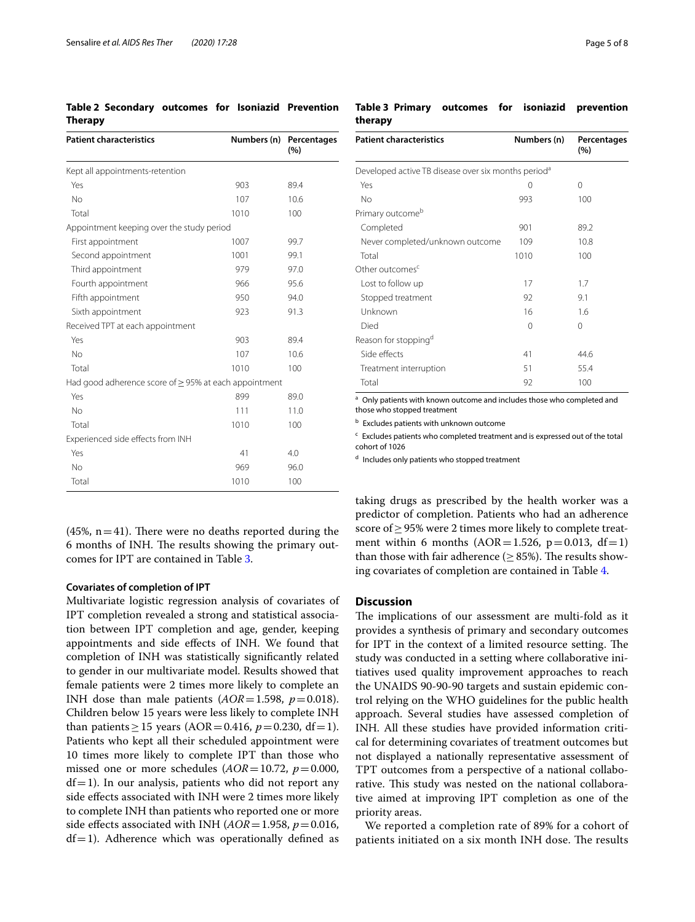<span id="page-4-0"></span>**Table 2 Secondary outcomes for Isoniazid Prevention Therapy**

| <b>Patient characteristics</b>                             | Numbers (n) | Percentages<br>(%) |
|------------------------------------------------------------|-------------|--------------------|
| Kept all appointments-retention                            |             |                    |
| Yes                                                        | 903         | 89.4               |
| No                                                         | 107         | 10.6               |
| Total                                                      | 1010        | 100                |
| Appointment keeping over the study period                  |             |                    |
| First appointment                                          | 1007        | 99.7               |
| Second appointment                                         | 1001        | 99.1               |
| Third appointment                                          | 979         | 97.0               |
| Fourth appointment                                         | 966         | 95.6               |
| Fifth appointment                                          | 950         | 94.0               |
| Sixth appointment                                          | 923         | 91.3               |
| Received TPT at each appointment                           |             |                    |
| Yes                                                        | 903         | 89.4               |
| No                                                         | 107         | 10.6               |
| Total                                                      | 1010        | 100                |
| Had good adherence score of $\geq$ 95% at each appointment |             |                    |
| Yes                                                        | 899         | 89.0               |
| N <sub>o</sub>                                             | 111         | 11.0               |
| Total                                                      | 1010        | 100                |
| Experienced side effects from INH                          |             |                    |
| Yes                                                        | 41          | 4.0                |
| No                                                         | 969         | 96.0               |
| Total                                                      | 1010        | 100                |

 $(45\%, n=41)$ . There were no deaths reported during the 6 months of INH. The results showing the primary outcomes for IPT are contained in Table [3.](#page-4-1)

## **Covariates of completion of IPT**

Multivariate logistic regression analysis of covariates of IPT completion revealed a strong and statistical association between IPT completion and age, gender, keeping appointments and side efects of INH. We found that completion of INH was statistically signifcantly related to gender in our multivariate model. Results showed that female patients were 2 times more likely to complete an INH dose than male patients  $(AOR=1.598, p=0.018)$ . Children below 15 years were less likely to complete INH than patients  $\geq$  15 years (AOR = 0.416, *p* = 0.230, df = 1). Patients who kept all their scheduled appointment were 10 times more likely to complete IPT than those who missed one or more schedules  $(AOR=10.72, p=0.000, p=0.000)$  $df=1$ ). In our analysis, patients who did not report any side effects associated with INH were 2 times more likely to complete INH than patients who reported one or more side effects associated with INH  $(AOR=1.958, p=0.016,$  $df=1$ ). Adherence which was operationally defined as

## <span id="page-4-1"></span>**Table 3 Primary outcomes for isoniazid prevention therapy**

| <b>Patient characteristics</b>                                  | Numbers (n) | Percentages<br>(%) |
|-----------------------------------------------------------------|-------------|--------------------|
| Developed active TB disease over six months period <sup>a</sup> |             |                    |
| Yes                                                             | 0           | 0                  |
| No                                                              | 993         | 100                |
| Primary outcome <sup>b</sup>                                    |             |                    |
| Completed                                                       | 901         | 89.2               |
| Never completed/unknown outcome                                 | 109         | 10.8               |
| Total                                                           | 1010        | 100                |
| Other outcomes <sup>c</sup>                                     |             |                    |
| Lost to follow up                                               | 17          | 1.7                |
| Stopped treatment                                               | 92          | 9.1                |
| Unknown                                                         | 16          | 1.6                |
| Died                                                            | $\Omega$    | 0                  |
| Reason for stopping <sup>d</sup>                                |             |                    |
| Side effects                                                    | 41          | 44.6               |
| Treatment interruption                                          | 51          | 55.4               |
| Total                                                           | 92          | 100                |

<sup>a</sup> Only patients with known outcome and includes those who completed and those who stopped treatment

<sup>b</sup> Excludes patients with unknown outcome

<sup>c</sup> Excludes patients who completed treatment and is expressed out of the total cohort of 1026

<sup>d</sup> Includes only patients who stopped treatment

taking drugs as prescribed by the health worker was a predictor of completion. Patients who had an adherence score of≥95% were 2 times more likely to complete treatment within 6 months (AOR=1.526, p=0.013, df=1) than those with fair adherence ( $\geq$  85%). The results showing covariates of completion are contained in Table [4.](#page-5-0)

## **Discussion**

The implications of our assessment are multi-fold as it provides a synthesis of primary and secondary outcomes for IPT in the context of a limited resource setting. The study was conducted in a setting where collaborative initiatives used quality improvement approaches to reach the UNAIDS 90-90-90 targets and sustain epidemic control relying on the WHO guidelines for the public health approach. Several studies have assessed completion of INH. All these studies have provided information critical for determining covariates of treatment outcomes but not displayed a nationally representative assessment of TPT outcomes from a perspective of a national collaborative. This study was nested on the national collaborative aimed at improving IPT completion as one of the priority areas.

We reported a completion rate of 89% for a cohort of patients initiated on a six month INH dose. The results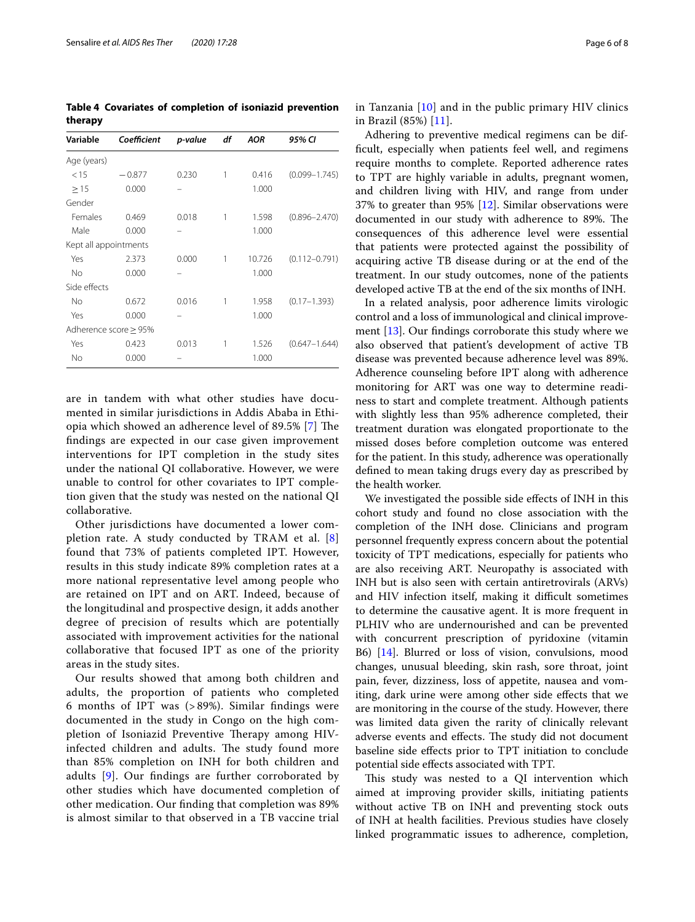<span id="page-5-0"></span>**Table 4 Covariates of completion of isoniazid prevention therapy**

| Variable              | Coefficient           | p-value | df | <b>AOR</b> | 95% CI            |
|-----------------------|-----------------------|---------|----|------------|-------------------|
| Age (years)           |                       |         |    |            |                   |
| < 15                  | $-0.877$              | 0.230   | 1  | 0.416      | $(0.099 - 1.745)$ |
| >15                   | 0.000                 |         |    | 1.000      |                   |
| Gender                |                       |         |    |            |                   |
| Females               | 0.469                 | 0.018   | 1  | 1.598      | $(0.896 - 2.470)$ |
| Male                  | 0.000                 |         |    | 1.000      |                   |
| Kept all appointments |                       |         |    |            |                   |
| Yes                   | 2.373                 | 0.000   | 1  | 10.726     | $(0.112 - 0.791)$ |
| <b>No</b>             | 0.000                 |         |    | 1.000      |                   |
| Side effects          |                       |         |    |            |                   |
| <b>No</b>             | 0.672                 | 0.016   | 1  | 1.958      | $(0.17 - 1.393)$  |
| Yes                   | 0.000                 |         |    | 1.000      |                   |
|                       | Adherence score > 95% |         |    |            |                   |
| Yes                   | 0.423                 | 0.013   | 1  | 1.526      | $(0.647 - 1.644)$ |
| <b>No</b>             | 0.000                 |         |    | 1.000      |                   |

are in tandem with what other studies have documented in similar jurisdictions in Addis Ababa in Ethi-opia which showed an adherence level of 89.5% [[7\]](#page-7-4) The fndings are expected in our case given improvement interventions for IPT completion in the study sites under the national QI collaborative. However, we were unable to control for other covariates to IPT completion given that the study was nested on the national QI collaborative.

Other jurisdictions have documented a lower com-pletion rate. A study conducted by TRAM et al. [\[8](#page-7-5)] found that 73% of patients completed IPT. However, results in this study indicate 89% completion rates at a more national representative level among people who are retained on IPT and on ART. Indeed, because of the longitudinal and prospective design, it adds another degree of precision of results which are potentially associated with improvement activities for the national collaborative that focused IPT as one of the priority areas in the study sites.

Our results showed that among both children and adults, the proportion of patients who completed 6 months of IPT was (> 89%). Similar fndings were documented in the study in Congo on the high completion of Isoniazid Preventive Therapy among HIVinfected children and adults. The study found more than 85% completion on INH for both children and adults [[9\]](#page-7-6). Our fndings are further corroborated by other studies which have documented completion of other medication. Our fnding that completion was 89% is almost similar to that observed in a TB vaccine trial in Tanzania [[10\]](#page-7-7) and in the public primary HIV clinics in Brazil (85%) [\[11](#page-7-8)].

Adhering to preventive medical regimens can be diffcult, especially when patients feel well, and regimens require months to complete. Reported adherence rates to TPT are highly variable in adults, pregnant women, and children living with HIV, and range from under 37% to greater than 95% [[12\]](#page-7-9). Similar observations were documented in our study with adherence to 89%. The consequences of this adherence level were essential that patients were protected against the possibility of acquiring active TB disease during or at the end of the treatment. In our study outcomes, none of the patients developed active TB at the end of the six months of INH.

In a related analysis, poor adherence limits virologic control and a loss of immunological and clinical improvement [\[13\]](#page-7-10). Our fndings corroborate this study where we also observed that patient's development of active TB disease was prevented because adherence level was 89%. Adherence counseling before IPT along with adherence monitoring for ART was one way to determine readiness to start and complete treatment. Although patients with slightly less than 95% adherence completed, their treatment duration was elongated proportionate to the missed doses before completion outcome was entered for the patient. In this study, adherence was operationally defned to mean taking drugs every day as prescribed by the health worker.

We investigated the possible side efects of INH in this cohort study and found no close association with the completion of the INH dose. Clinicians and program personnel frequently express concern about the potential toxicity of TPT medications, especially for patients who are also receiving ART. Neuropathy is associated with INH but is also seen with certain antiretrovirals (ARVs) and HIV infection itself, making it difficult sometimes to determine the causative agent. It is more frequent in PLHIV who are undernourished and can be prevented with concurrent prescription of pyridoxine (vitamin B6) [\[14](#page-7-11)]. Blurred or loss of vision, convulsions, mood changes, unusual bleeding, skin rash, sore throat, joint pain, fever, dizziness, loss of appetite, nausea and vomiting, dark urine were among other side efects that we are monitoring in the course of the study. However, there was limited data given the rarity of clinically relevant adverse events and effects. The study did not document baseline side efects prior to TPT initiation to conclude potential side efects associated with TPT.

This study was nested to a QI intervention which aimed at improving provider skills, initiating patients without active TB on INH and preventing stock outs of INH at health facilities. Previous studies have closely linked programmatic issues to adherence, completion,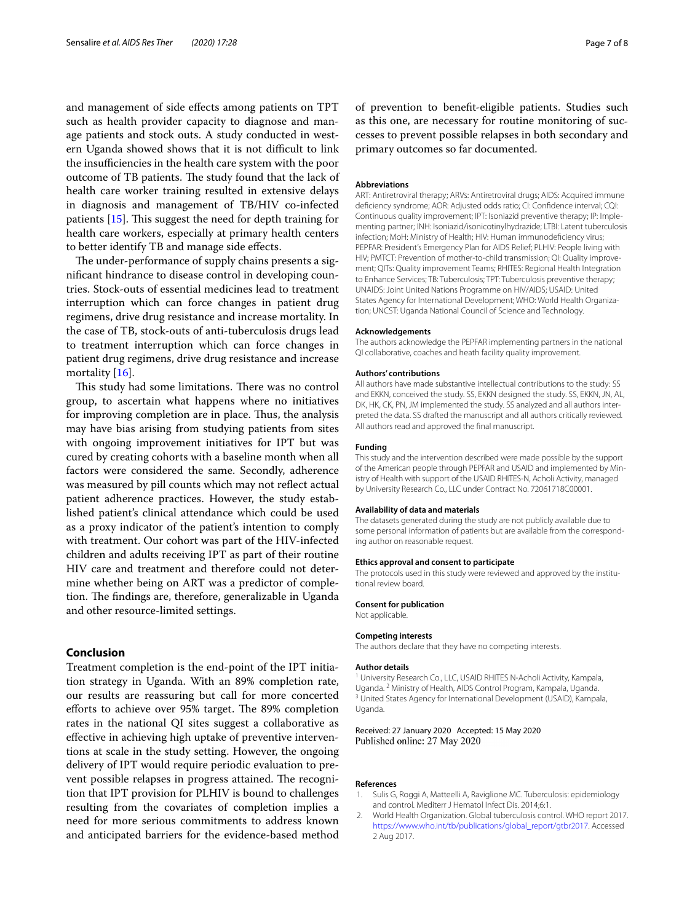and management of side efects among patients on TPT such as health provider capacity to diagnose and manage patients and stock outs. A study conducted in western Uganda showed shows that it is not difficult to link the insufficiencies in the health care system with the poor outcome of TB patients. The study found that the lack of health care worker training resulted in extensive delays in diagnosis and management of TB/HIV co-infected patients  $[15]$  $[15]$ . This suggest the need for depth training for health care workers, especially at primary health centers to better identify TB and manage side efects.

The under-performance of supply chains presents a signifcant hindrance to disease control in developing countries. Stock-outs of essential medicines lead to treatment interruption which can force changes in patient drug regimens, drive drug resistance and increase mortality. In the case of TB, stock-outs of anti-tuberculosis drugs lead to treatment interruption which can force changes in patient drug regimens, drive drug resistance and increase mortality [\[16\]](#page-7-13).

This study had some limitations. There was no control group, to ascertain what happens where no initiatives for improving completion are in place. Thus, the analysis may have bias arising from studying patients from sites with ongoing improvement initiatives for IPT but was cured by creating cohorts with a baseline month when all factors were considered the same. Secondly, adherence was measured by pill counts which may not refect actual patient adherence practices. However, the study established patient's clinical attendance which could be used as a proxy indicator of the patient's intention to comply with treatment. Our cohort was part of the HIV-infected children and adults receiving IPT as part of their routine HIV care and treatment and therefore could not determine whether being on ART was a predictor of completion. The findings are, therefore, generalizable in Uganda and other resource-limited settings.

## **Conclusion**

Treatment completion is the end-point of the IPT initiation strategy in Uganda. With an 89% completion rate, our results are reassuring but call for more concerted efforts to achieve over 95% target. The 89% completion rates in the national QI sites suggest a collaborative as efective in achieving high uptake of preventive interventions at scale in the study setting. However, the ongoing delivery of IPT would require periodic evaluation to prevent possible relapses in progress attained. The recognition that IPT provision for PLHIV is bound to challenges resulting from the covariates of completion implies a need for more serious commitments to address known and anticipated barriers for the evidence-based method of prevention to beneft-eligible patients. Studies such as this one, are necessary for routine monitoring of successes to prevent possible relapses in both secondary and primary outcomes so far documented.

#### **Abbreviations**

ART: Antiretroviral therapy; ARVs: Antiretroviral drugs; AIDS: Acquired immune defciency syndrome; AOR: Adjusted odds ratio; CI: Confdence interval; CQI: Continuous quality improvement; IPT: Isoniazid preventive therapy; IP: Implementing partner; INH: Isoniazid/isonicotinylhydrazide; LTBI: Latent tuberculosis infection; MoH: Ministry of Health; HIV: Human immunodefciency virus; PEPFAR: President's Emergency Plan for AIDS Relief; PLHIV: People living with HIV; PMTCT: Prevention of mother-to-child transmission; QI: Quality improvement; QITs: Quality improvement Teams; RHITES: Regional Health Integration to Enhance Services; TB: Tuberculosis; TPT: Tuberculosis preventive therapy; UNAIDS: Joint United Nations Programme on HIV/AIDS; USAID: United States Agency for International Development; WHO: World Health Organization; UNCST: Uganda National Council of Science and Technology.

#### **Acknowledgements**

The authors acknowledge the PEPFAR implementing partners in the national QI collaborative, coaches and heath facility quality improvement.

#### **Authors' contributions**

All authors have made substantive intellectual contributions to the study: SS and EKKN, conceived the study. SS, EKKN designed the study. SS, EKKN, JN, AL, DK, HK, CK, PN, JM implemented the study. SS analyzed and all authors interpreted the data. SS drafted the manuscript and all authors critically reviewed. All authors read and approved the fnal manuscript.

#### **Funding**

This study and the intervention described were made possible by the support of the American people through PEPFAR and USAID and implemented by Ministry of Health with support of the USAID RHITES-N, Acholi Activity, managed by University Research Co., LLC under Contract No. 72061718C00001.

#### **Availability of data and materials**

The datasets generated during the study are not publicly available due to some personal information of patients but are available from the corresponding author on reasonable request.

#### **Ethics approval and consent to participate**

The protocols used in this study were reviewed and approved by the institutional review board.

#### **Consent for publication**

Not applicable.

#### **Competing interests**

The authors declare that they have no competing interests.

#### **Author details**

<sup>1</sup> University Research Co., LLC, USAID RHITES N-Acholi Activity, Kampala, Uganda. <sup>2</sup> Ministry of Health, AIDS Control Program, Kampala, Uganda.<br><sup>3</sup> United States Agency for International Development (USAID), Kampala, Uganda.

## Received: 27 January 2020 Accepted: 15 May 2020 Published online: 27 May 2020

#### **References**

- <span id="page-6-0"></span>1. Sulis G, Roggi A, Matteelli A, Raviglione MC. Tuberculosis: epidemiology and control. Mediterr J Hematol Infect Dis. 2014;6:1.
- <span id="page-6-1"></span>2. World Health Organization. Global tuberculosis control. WHO report 2017. [https://www.who.int/tb/publications/global\\_report/gtbr2017](https://www.who.int/tb/publications/global_report/gtbr2017). Accessed 2 Aug 2017.